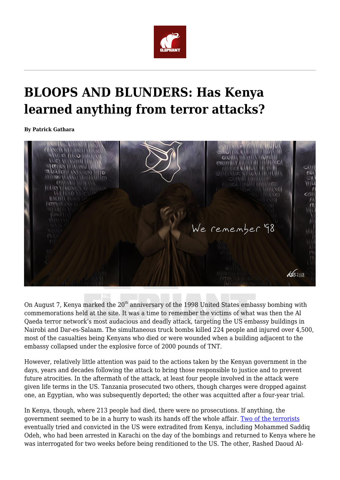

## **BLOOPS AND BLUNDERS: Has Kenya learned anything from terror attacks?**

**By Patrick Gathara**



On August 7, Kenya marked the  $20<sup>th</sup>$  anniversary of the 1998 United States embassy bombing with commemorations held at the site. It was a time to remember the victims of what was then the Al Qaeda terror network's most audacious and deadly attack, targeting the US embassy buildings in Nairobi and Dar-es-Salaam. The simultaneous truck bombs killed 224 people and injured over 4,500, most of the casualties being Kenyans who died or were wounded when a building adjacent to the embassy collapsed under the explosive force of 2000 pounds of TNT.

However, relatively little attention was paid to the actions taken by the Kenyan government in the days, years and decades following the attack to bring those responsible to justice and to prevent future atrocities. In the aftermath of the attack, at least four people involved in the attack were given life terms in the US. Tanzania prosecuted two others, though charges were dropped against one, an Egyptian, who was subsequently deported; the other was acquitted after a four-year trial.

In Kenya, though, where 213 people had died, there were no prosecutions. If anything, the government seemed to be in a hurry to wash its hands off the whole affair. [Two of the terrorists](http://edition.cnn.com/WORLD/africa/9808/28/kenya.suspects.01/) eventually tried and convicted in the US were extradited from Kenya, including Mohammed Saddiq Odeh, who had been arrested in Karachi on the day of the bombings and returned to Kenya where he was interrogated for two weeks before being renditioned to the US. The other, Rashed Daoud Al-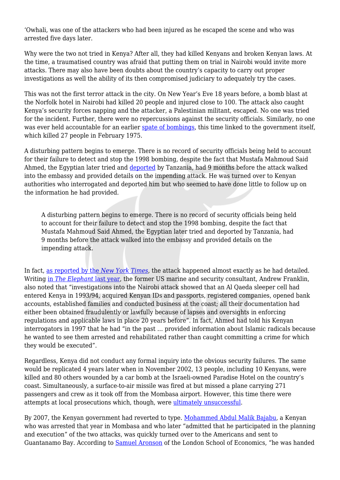'Owhali, was one of the attackers who had been injured as he escaped the scene and who was arrested five days later.

Why were the two not tried in Kenya? After all, they had killed Kenyans and broken Kenyan laws. At the time, a traumatised country was afraid that putting them on trial in Nairobi would invite more attacks. There may also have been doubts about the country's capacity to carry out proper investigations as well the ability of its then compromised judiciary to adequately try the cases.

This was not the first terror attack in the city. On New Year's Eve 18 years before, a bomb blast at the Norfolk hotel in Nairobi had killed 20 people and injured close to 100. The attack also caught Kenya's security forces napping and the attacker, a Palestinian militant, escaped. No one was tried for the incident. Further, there were no repercussions against the security officials. Similarly, no one was ever held accountable for an earlier [spate of bombings,](http://owaahh.com/the-three-curious-bombings-that-rocked-nairobi-in-1975/) this time linked to the government itself, which killed 27 people in February 1975.

A disturbing pattern begins to emerge. There is no record of security officials being held to account for their failure to detect and stop the 1998 bombing, despite the fact that Mustafa Mahmoud Said Ahmed, the Egyptian later tried and [deported](https://www.washingtonpost.com/archive/politics/2000/03/20/world-in-brief/6eed1c4b-c4ee-4b32-a6e3-67d553c95e54/?utm_term=.452427fc04b1) by Tanzania, had 9 months before the attack walked into the embassy and provided details on the impending attack. He was turned over to Kenyan authorities who interrogated and deported him but who seemed to have done little to follow up on the information he had provided.

A disturbing pattern begins to emerge. There is no record of security officials being held to account for their failure to detect and stop the 1998 bombing, despite the fact that Mustafa Mahmoud Said Ahmed, the Egyptian later tried and deported by Tanzania, had 9 months before the attack walked into the embassy and provided details on the impending attack.

In fact, [as reported by the](https://www.nytimes.com/1998/10/23/world/nairobi-embassy-received-warning-of-coming-attack.html) *[New York Times](https://www.nytimes.com/1998/10/23/world/nairobi-embassy-received-warning-of-coming-attack.html)*, the attack happened almost exactly as he had detailed. Writing [in](https://www.theelephant.info/features/2017/06/01/national-insecurity-kenyas-forever-war-on-terror/) *[The Elephant](https://www.theelephant.info/features/2017/06/01/national-insecurity-kenyas-forever-war-on-terror/)* [last year,](https://www.theelephant.info/features/2017/06/01/national-insecurity-kenyas-forever-war-on-terror/) the former US marine and security consultant, Andrew Franklin, also noted that "investigations into the Nairobi attack showed that an Al Qaeda sleeper cell had entered Kenya in 1993/94, acquired Kenyan IDs and passports, registered companies, opened bank accounts, established families and conducted business at the coast; all their documentation had either been obtained fraudulently or lawfully because of lapses and oversights in enforcing regulations and applicable laws in place 20 years before". In fact, Ahmed had told his Kenyan interrogators in 1997 that he had "in the past … provided information about Islamic radicals because he wanted to see them arrested and rehabilitated rather than caught committing a crime for which they would be executed".

Regardless, Kenya did not conduct any formal inquiry into the obvious security failures. The same would be replicated 4 years later when in November 2002, 13 people, including 10 Kenyans, were killed and 80 others wounded by a car bomb at the Israeli-owned Paradise Hotel on the country's coast. Simultaneously, a surface-to-air missile was fired at but missed a plane carrying 271 passengers and crew as it took off from the Mombasa airport. However, this time there were attempts at local prosecutions which, though, were [ultimately unsuccessful.](https://www.capitalfm.co.ke/news/2008/09/kikambala-suspect-freed-of-weapons-charge/)

By 2007, the Kenyan government had reverted to type. [Mohammed Abdul Malik Bajabu,](https://www.miamiherald.com/news/nation-world/world/americas/guantanamo/article119774863.html) a Kenyan who was arrested that year in Mombasa and who later "admitted that he participated in the planning and execution" of the two attacks, was quickly turned over to the Americans and sent to Guantanamo Bay. According to [Samuel Aronson](https://www.umes.edu/cms300uploadedfiles/ajcjs/volume_7_issue_1_and_2/vol7.1%20aronson%20final.pdf) of the London School of Economics, "he was handed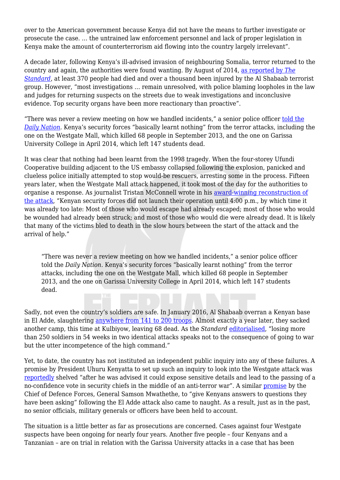over to the American government because Kenya did not have the means to further investigate or prosecute the case. … the untrained law enforcement personnel and lack of proper legislation in Kenya make the amount of counterterrorism aid flowing into the country largely irrelevant".

A decade later, following Kenya's ill-advised invasion of neighbouring Somalia, terror returned to the country and again, the authorities were found wanting. By August of 2014, [as reported by](https://www.standardmedia.co.ke/article/2000131848/kenya-has-experienced-100-terror-related-attacks-in-three-years) *[The](https://www.standardmedia.co.ke/article/2000131848/kenya-has-experienced-100-terror-related-attacks-in-three-years) [Standard](https://www.standardmedia.co.ke/article/2000131848/kenya-has-experienced-100-terror-related-attacks-in-three-years)*, at least 370 people had died and over a thousand been injured by the Al Shabaab terrorist group. However, "most investigations … remain unresolved, with police blaming loopholes in the law and judges for returning suspects on the streets due to weak investigations and inconclusive evidence. Top security organs have been more reactionary than proactive".

"There was never a review meeting on how we handled incidents," a senior police officer [told the](https://www.nation.co.ke/news/Police-Crisis-Security-Reforms-Investigation/1056-2776402-14ra0bf/index.html) *[Daily Nation](https://www.nation.co.ke/news/Police-Crisis-Security-Reforms-Investigation/1056-2776402-14ra0bf/index.html).* Kenya's security forces "basically learnt nothing" from the terror attacks, including the one on the Westgate Mall, which killed 68 people in September 2013, and the one on Garissa University College in April 2014, which left 147 students dead.

It was clear that nothing had been learnt from the 1998 tragedy. When the four-storey Ufundi Cooperative building adjacent to the US embassy collapsed following the explosion, panicked and clueless police initially attempted to stop would-be rescuers, arresting some in the process. Fifteen years later, when the Westgate Mall attack happened, it took most of the day for the authorities to organise a response. As journalist Tristan McConnell wrote in his [award-winning reconstruction of](https://foreignpolicy.com/2015/09/20/nairobi-kenya-westgate-mall-attack-al-shabab/) [the attack](https://foreignpolicy.com/2015/09/20/nairobi-kenya-westgate-mall-attack-al-shabab/), "Kenyan security forces did not launch their operation until 4:00 p.m., by which time it was already too late: Most of those who would escape had already escaped; most of those who would be wounded had already been struck; and most of those who would die were already dead. It is likely that many of the victims bled to death in the slow hours between the start of the attack and the arrival of help."

"There was never a review meeting on how we handled incidents," a senior police officer told the *Daily Nation.* Kenya's security forces "basically learnt nothing" from the terror attacks, including the one on the Westgate Mall, which killed 68 people in September 2013, and the one on Garissa University College in April 2014, which left 147 students dead.

Sadly, not even the country's soldiers are safe. In January 2016, Al Shabaab overran a Kenyan base in El Adde, slaughtering [anywhere from 141 to 200 troops.](https://www.ipinst.org/wp-content/uploads/2016/07/1607_Battle-at-El-Adde.pdf) Almost exactly a year later, they sacked another camp, this time at Kulbiyow, leaving 68 dead. As the *Standard* [editorialised](https://www.standardmedia.co.ke/article/2001227571/top-military-bosses-have-failed-soldiers), "losing more than 250 soldiers in 54 weeks in two identical attacks speaks not to the consequence of going to war but the utter incompetence of the high command."

Yet, to date, the country has not instituted an independent public inquiry into any of these failures. A promise by President Uhuru Kenyatta to set up such an inquiry to look into the Westgate attack was [reportedly](https://mobile.nation.co.ke/news/Commission-of-inquiry-that-never-was/1950946-2460374-format-xhtml-dxe2a9z/index.html) shelved "after he was advised it could expose sensitive details and lead to the passing of a no-confidence vote in security chiefs in the middle of an anti-terror war". A similar [promise](https://www.the-star.co.ke/news/2016/01/21/amisom-failed-to-give-resources-to-help-kenyan-soldiers-after-al_c1280806) by the Chief of Defence Forces, General Samson Mwathethe, to "give Kenyans answers to questions they have been asking" following the El Adde attack also came to naught. As a result, just as in the past, no senior officials, military generals or officers have been held to account.

The situation is a little better as far as prosecutions are concerned. Cases against four Westgate suspects have been ongoing for nearly four years. Another five people – four Kenyans and a Tanzanian – are on trial in relation with the Garissa University attacks in a case that has been